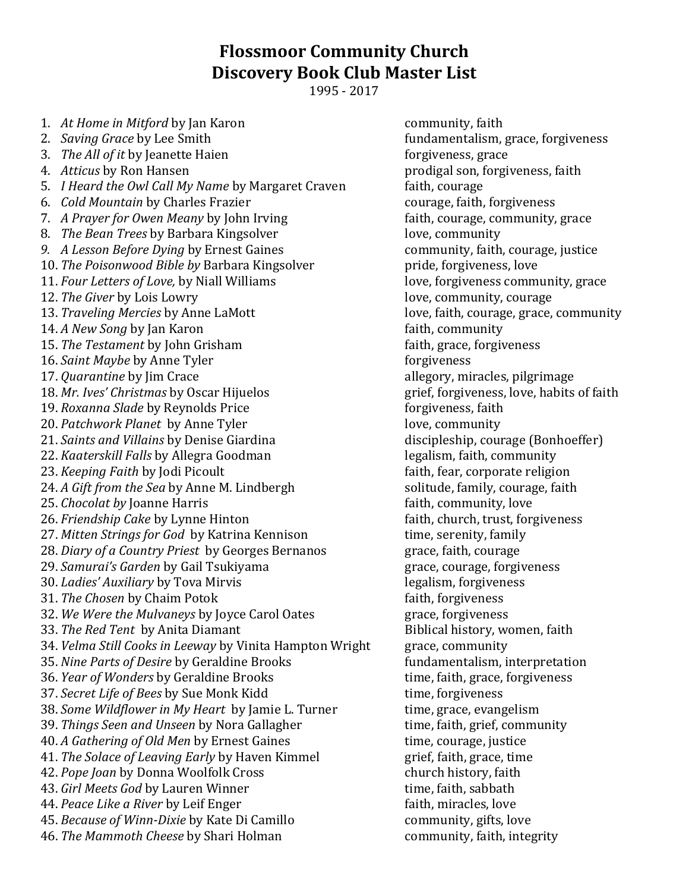## **Flossmoor Community Church Discovery Book Club Master List**

1995 - 2017

1. *At Home in Mitford* by Jan Karon **community**, faith 2. *Saving Grace* by Lee Smith *n Saving Grace* by Lee Smith *n n n n n n n n n n n n n n n n n n n n n n n n n n* 3. *The All of it* by Jeanette Haien for the state for giveness, grace 4. *Atticus* by Ron Hansen prodigal son, forgiveness, faith 5. *I Heard the Owl Call My Name* by Margaret Craven faith, courage 6. *Cold Mountain* by Charles Frazier courage, faith, forgiveness 7. *A Prayer for Owen Meany* by John Irving faith, courage, community, grace 8. *The Bean Trees* by Barbara Kingsolver **1988** love, community *9. A Lesson Before Dying* by Ernest Gaines **by the community, faith, courage, justice** 10. *The Poisonwood Bible by* Barbara Kingsolverpride, forgiveness, love 11. *Four Letters of Love,* by Niall Williams love, forgiveness community, grace 12. *The Giver* by Lois Lowry **love** extending the love, community, courage 13. *Traveling Mercies* by Anne LaMott love, faith, courage, grace, community 14. *A New Song* by Jan Karon **faith**, community 15. *The Testament* by John Grisham faith, grace, forgiveness 16. *Saint Maybe* by Anne Tyler forgiveness 17. *Quarantine* by Jim Crace and the same allegory, miracles, pilgrimage 18. *Mr. Ives' Christmas* by Oscar Hijuelos grief, forgiveness, love, habits of faith 19. *Roxanna Slade* by Reynolds Price forgiveness, faith 20. *Patchwork Planet* by Anne Tyler **love**, community 21. *Saints and Villains* by Denise Giardina discipleship, courage (Bonhoeffer) 22. *Kaaterskill Falls* by Allegra Goodman legalism, faith, community 23. *Keeping Faith* by Jodi Picoult *Calculary Faith, fear, corporate religion* 24. *A Gift from the Sea* by Anne M. Lindbergh solitude, family, courage, faith 25. *Chocolat by* Joanne Harris *Payment Community, love* faith, community, love 26. *Friendship Cake* by Lynne Hinton faith, church, trust, forgiveness 27. *Mitten Strings for God* by Katrina Kennison time, serenity, family 28. *Diary of a Country Priest* by Georges Bernanos grace, faith, courage 29. *Samurai's Garden* by Gail Tsukiyama grace, courage, forgiveness 30. *Ladies' Auxiliary* by Tova Mirvis legalism, forgiveness 31. *The Chosen* by Chaim Potok faith, forgiveness 32. *We Were the Mulvaneys* by Joyce Carol Oates grace, forgiveness 33. *The Red Tent* by Anita Diamant Biblical history, women, faith 34. *Velma Still Cooks in Leeway* by Vinita Hampton Wright grace, community 35. *Nine Parts of Desire* by Geraldine Brooks fundamentalism, interpretation 36. *Year of Wonders* by Geraldine Brooks time, faith, grace, forgiveness 37. *Secret Life of Bees* by Sue Monk Kidd time, forgiveness 38. *Some Wildflower in My Heart* by Jamie L. Turner time, grace, evangelism 39. *Things Seen and Unseen* by Nora Gallagher time, faith, grief, community 40. *A Gathering of Old Men* by Ernest Gaines time, courage, justice 41. *The Solace of Leaving Early* by Haven Kimmel grief, faith, grace, time 42. *Pope Joan* by Donna Woolfolk Cross church history, faith 43. *Girl Meets God* by Lauren Winner time, faith, sabbath 44. *Peace Like a River* by Leif Enger faith, miracles, love 45. *Because of Winn-Dixie* by Kate Di Camillo community, gifts, love 46. *The Mammoth Cheese* by Shari Holman community, faith, integrity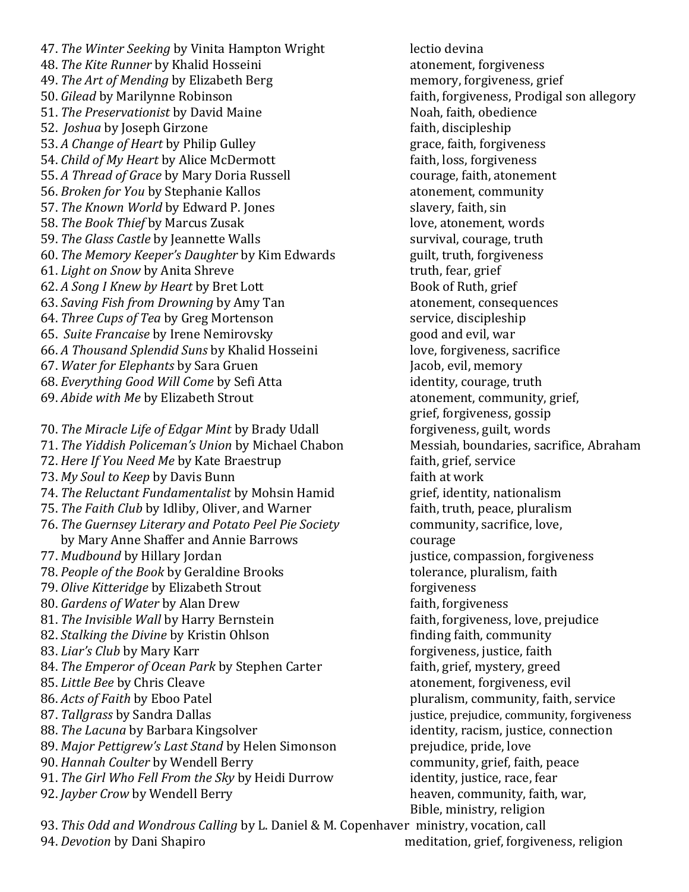47. *The Winter Seeking* by Vinita Hampton Wright lectio devina 48. *The Kite Runner* by Khalid Hosseini atonement, forgiveness 49. *The Art of Mending* by Elizabeth Berg memory, forgiveness, grief 50. *Gilead* by Marilynne Robinson **faith, forgiveness, Prodigal son allegory** 51. *The Preservationist* by David Maine Noah, faith, obedience 52. *Joshua* by Joseph Girzone **faith**, discipleship 53. *A Change of Heart* by Philip Gulley **grace**, faith, forgiveness 54. *Child of My Heart by Alice McDermott* faith, loss, forgiveness 55. *A Thread of Grace* by Mary Doria Russell courage, faith, atonement 56. *Broken for You* by Stephanie Kallos atonement, community 57. *The Known World* by Edward P. Jones slavery, faith, sin 58. *The Book Thief by Marcus Zusak* and *I* and *Love, atonement, words* 59. *The Glass Castle* by Jeannette Walls survival, courage, truth 60. *The Memory Keeper's Daughter* by Kim Edwards guilt, truth, forgiveness 61. *Light on Snow by Anita Shreve* truth, fear, grief 62. *A Song I Knew by Heart by Bret Lott* Book of Ruth, grief 63. *Saving Fish from Drowning* by Amy Tan atonement, consequences 64. *Three Cups of Tea* by Greg Mortenson service, discipleship 65. *Suite Francaise* by Irene Nemirovsky good and evil, war 66. *A Thousand Splendid Suns* by Khalid Hosseini love, forgiveness, sacrifice 67. *Water for Elephants* by Sara Gruen Jacob, evil, memory 68. *Everything Good Will Come* by Sefi Atta identity, courage, truth 69. *Abide with Me* by Elizabeth Strout atonement, community, grief, 70. *The Miracle Life of Edgar Mint* by Brady Udall forgiveness, guilt, words 71. *The Yiddish Policeman's Union* by Michael Chabon Messiah, boundaries, sacrifice, Abraham 72. *Here If You Need Me* by Kate Braestrup faith, grief, service 73. *My Soul to Keep by Davis Bunn* Faith at work faith at work 74. *The Reluctant Fundamentalist* by Mohsin Hamid grief, identity, nationalism 75. *The Faith Club* by Idliby, Oliver, and Warner faith, truth, peace, pluralism 76. *The Guernsey Literary and Potato Peel Pie Society* community, sacrifice, love, by Mary Anne Shaffer and Annie Barrows courage 77. *Mudbound* by Hillary Jordan justice, compassion, forgiveness 78. *People of the Book* by Geraldine Brooks tolerance, pluralism, faith 79. *Olive Kitteridge* by Elizabeth Strout forgiveness for giveness 80. *Gardens of Water by Alan Drew* faith, forgiveness 81. *The Invisible Wall* by Harry Bernstein faith, forgiveness, love, prejudice 82. *Stalking the Divine* by Kristin Ohlson **finding faith, community** 83. *Liar's Club* by Mary Karr **formulate in the control of the forgiveness**, justice, faith 84. *The Emperor of Ocean Park* by Stephen Carter faith, grief, mystery, greed 85. *Little Bee* by Chris Cleave atonement, forgiveness, evil 86. *Acts of Faith* by Eboo Patel pluralism, community, faith, service 87. *Tallgrass* by Sandra Dallas justice, prejudice, community, forgiveness 88. *The Lacuna* by Barbara Kingsolver **in the set of the set of the connection** identity, racism, justice, connection 89. *Major Pettigrew's Last Stand* by Helen Simonson prejudice, pride, love 90. *Hannah Coulter* by Wendell Berry community, grief, faith, peace 91. *The Girl Who Fell From the Sky* by Heidi Durrow identity, justice, race, fear 92. *Jayber Crow* by Wendell Berry heaven, community, faith, war,

grief, forgiveness, gossip Bible, ministry, religion

93. *This Odd and Wondrous Calling* by L. Daniel & M. Copenhaver ministry, vocation, call 94. *Devotion* by Dani Shapiro meditation, grief, forgiveness, religion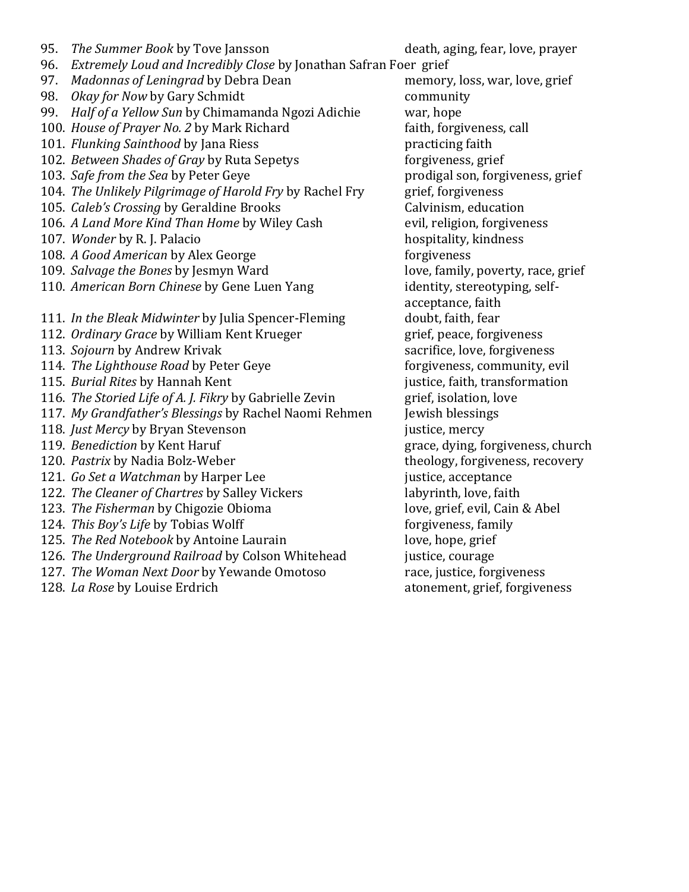| 95. | <i>The Summer Book by Tove Jansson</i>                        |
|-----|---------------------------------------------------------------|
|     | 96. Extremely Loud and Incredibly Close by Jonathan Safran Fo |
|     | 97. Madonnas of Leningrad by Debra Dean                       |
|     | 98. Okay for Now by Gary Schmidt                              |
|     | 99. Half of a Yellow Sun by Chimamanda Ngozi Adichie          |
|     | 100. House of Prayer No. 2 by Mark Richard                    |
|     | 101. Flunking Sainthood by Jana Riess                         |
|     | 102. Between Shades of Gray by Ruta Sepetys                   |
|     | 103. Safe from the Sea by Peter Geye                          |
|     | 104. The Unlikely Pilgrimage of Harold Fry by Rachel Fry      |
|     | 105. Caleb's Crossing by Geraldine Brooks                     |
|     | 106. A Land More Kind Than Home by Wiley Cash                 |
|     | 107. Wonder by R. J. Palacio                                  |
|     | 108. A Good American by Alex George                           |
|     | 109. Salvage the Bones by Jesmyn Ward                         |
|     | 110. American Born Chinese by Gene Luen Yang                  |
|     |                                                               |
|     | 111. In the Bleak Midwinter by Julia Spencer-Fleming          |
|     | 112. Ordinary Grace by William Kent Krueger                   |
|     | 113. Sojourn by Andrew Krivak                                 |
|     | 114. The Lighthouse Road by Peter Geye                        |
|     | 115. Burial Rites by Hannah Kent                              |
|     | 116. The Storied Life of A. J. Fikry by Gabrielle Zevin       |
|     | 117. My Grandfather's Blessings by Rachel Naomi Rehmen        |
|     | 118. Just Mercy by Bryan Stevenson                            |
|     | 119. Benediction by Kent Haruf                                |
|     | 120. Pastrix by Nadia Bolz-Weber                              |
|     | 121. Go Set a Watchman by Harper Lee                          |
|     | 122. The Cleaner of Chartres by Salley Vickers                |
|     | 123. The Fisherman by Chigozie Obioma                         |
|     | 124. This Boy's Life by Tobias Wolff                          |
|     | 125. The Red Notebook by Antoine Laurain                      |
|     | 126. The Underground Railroad by Colson Whitehead             |
|     | 127. The Woman Next Door by Yewande Omotoso                   |
|     | 128. La Rose by Louise Erdrich                                |

er grief memory, loss, war, love, grief community war, hope faith, forgiveness, call practicing faith forgiveness, grief prodigal son, forgiveness, grief 104. *The Unlikely Pilgrimage of Harold Fry* by Rachel Fry grief, forgiveness 105. *Caleb's Crossing* by Geraldine Brooks Calvinism, education evil, religion, forgiveness hospitality, kindness forgiveness love, family, poverty, race, grief identity, stereotyping, selfacceptance, faith doubt, faith, fear 112. *Ordinary Grace* by William Kent Krueger grief, peace, forgiveness sacrifice, love, forgiveness forgiveness, community, evil justice, faith, transformation 116. *The Storied Life of A. J. Fikry* by Gabrielle Zevin grief, isolation, love Jewish blessings justice, mercy grace, dying, forgiveness, church theology, forgiveness, recovery justice, acceptance labyrinth, love, faith love, grief, evil, Cain & Abel forgiveness, family love, hope, grief justice, courage 127. *The Woman Next Door* by Yewande Omotoso race, justice, forgiveness atonement, grief, forgiveness

death, aging, fear, love, prayer